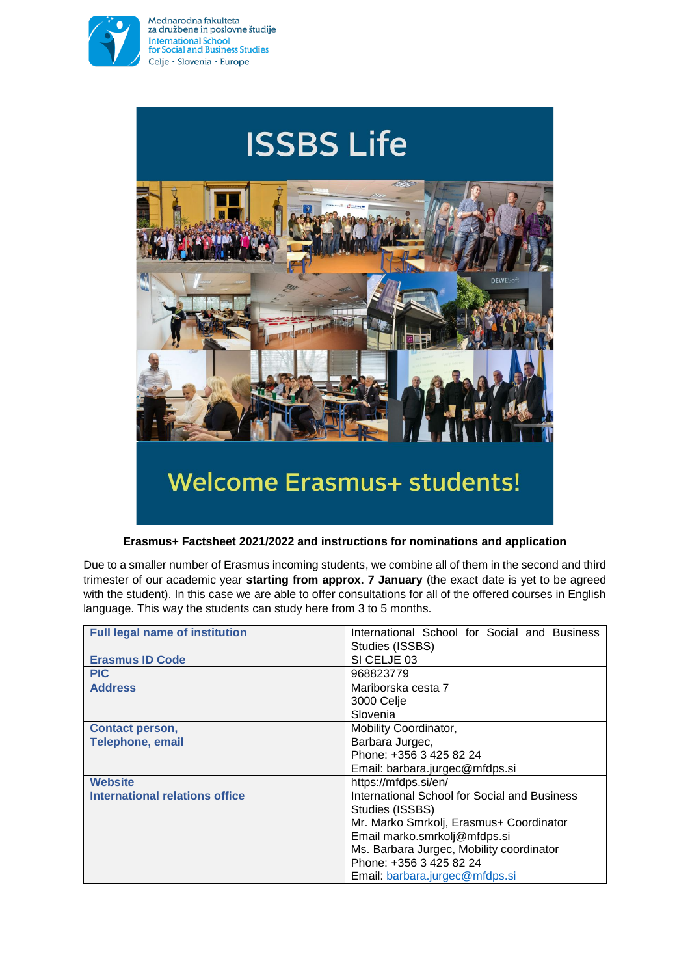

Mednarodna fakulteta za družbene in poslovne študije International School<br>for Social and Business Studies Celje · Slovenia · Europe



## **Erasmus+ Factsheet 2021/2022 and instructions for nominations and application**

Due to a smaller number of Erasmus incoming students, we combine all of them in the second and third trimester of our academic year **starting from approx. 7 January** (the exact date is yet to be agreed with the student). In this case we are able to offer consultations for all of the offered courses in English language. This way the students can study here from 3 to 5 months.

| <b>Full legal name of institution</b> | International School for Social and Business<br>Studies (ISSBS) |
|---------------------------------------|-----------------------------------------------------------------|
| <b>Erasmus ID Code</b>                | SI CELJE 03                                                     |
| <b>PIC</b>                            | 968823779                                                       |
| <b>Address</b>                        | Mariborska cesta 7                                              |
|                                       | 3000 Celje                                                      |
|                                       | Slovenia                                                        |
| <b>Contact person,</b>                | Mobility Coordinator,                                           |
| <b>Telephone, email</b>               | Barbara Jurgec,                                                 |
|                                       | Phone: +356 3 425 82 24                                         |
|                                       | Email: barbara.jurgec@mfdps.si                                  |
| <b>Website</b>                        | https://mfdps.si/en/                                            |
| International relations office        | International School for Social and Business                    |
|                                       | Studies (ISSBS)                                                 |
|                                       | Mr. Marko Smrkolj, Erasmus+ Coordinator                         |
|                                       | Email marko.smrkolj@mfdps.si                                    |
|                                       | Ms. Barbara Jurgec, Mobility coordinator                        |
|                                       | Phone: +356 3 425 82 24                                         |
|                                       | Email: barbara.jurgec@mfdps.si                                  |